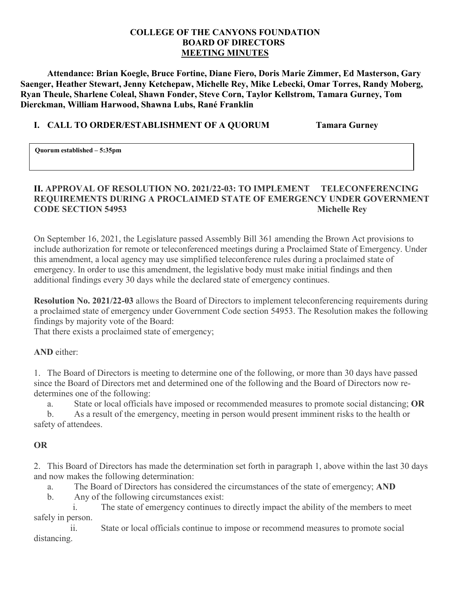### **COLLEGE OF THE CANYONS FOUNDATION BOARD OF DIRECTORS MEETING MINUTES**

**Attendance: Brian Koegle, Bruce Fortine, Diane Fiero, Doris Marie Zimmer, Ed Masterson, Gary Saenger, Heather Stewart, Jenny Ketchepaw, Michelle Rey, Mike Lebecki, Omar Torres, Randy Moberg, Ryan Theule, Sharlene Coleal, Shawn Fonder, Steve Corn, Taylor Kellstrom, Tamara Gurney, Tom Dierckman, William Harwood, Shawna Lubs, Rané Franklin** 

## **I. CALL TO ORDER/ESTABLISHMENT OF A QUORUM Tamara Gurney**

**Quorum established – 5:35pm** 

# **II. APPROVAL OF RESOLUTION NO. 2021/22-03: TO IMPLEMENT TELECONFERENCING REQUIREMENTS DURING A PROCLAIMED STATE OF EMERGENCY UNDER GOVERNMENT CODE SECTION 54953** Michelle Rey

 On September 16, 2021, the Legislature passed Assembly Bill 361 amending the Brown Act provisions to include authorization for remote or teleconferenced meetings during a Proclaimed State of Emergency. Under this amendment, a local agency may use simplified teleconference rules during a proclaimed state of emergency. In order to use this amendment, the legislative body must make initial findings and then additional findings every 30 days while the declared state of emergency continues.

 **Resolution No. 2021/22-03** allows the Board of Directors to implement teleconferencing requirements during a proclaimed state of emergency under Government Code section 54953. The Resolution makes the following findings by majority vote of the Board:

That there exists a proclaimed state of emergency;

**AND** either:

 1. The Board of Directors is meeting to determine one of the following, or more than 30 days have passed since the Board of Directors met and determined one of the following and the Board of Directors now redetermines one of the following:

a. State or local officials have imposed or recommended measures to promote social distancing; **OR** 

 b. As a result of the emergency, meeting in person would present imminent risks to the health or safety of attendees.

# **OR**

 2. This Board of Directors has made the determination set forth in paragraph 1, above within the last 30 days and now makes the following determination:

a. The Board of Directors has considered the circumstances of the state of emergency; **AND** 

b. Any of the following circumstances exist:

 i. The state of emergency continues to directly impact the ability of the members to meet safely in person.

 ii. State or local officials continue to impose or recommend measures to promote social distancing.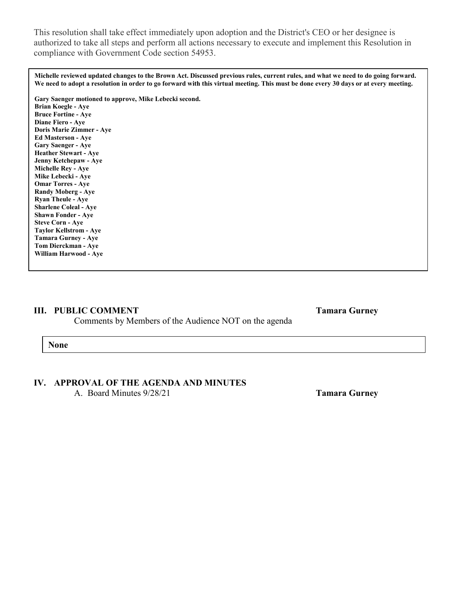This resolution shall take effect immediately upon adoption and the District's CEO or her designee is authorized to take all steps and perform all actions necessary to execute and implement this Resolution in compliance with Government Code section 54953.

 **Michelle reviewed updated changes to the Brown Act. Discussed previous rules, current rules, and what we need to do going forward. We need to adopt a resolution in order to go forward with this virtual meeting. This must be done every 30 days or at every meeting.** 

**Gary Saenger motioned to approve, Mike Lebecki second.** 

**Brian Koegle - Aye Bruce Fortine - Aye Diane Fiero - Aye Doris Marie Zimmer - Aye Ed Masterson - Aye Gary Saenger - Aye Heather Stewart - Aye Jenny Ketchepaw - Aye Michelle Rey - Aye Mike Lebecki - Aye Omar Torres - Aye Randy Moberg - Aye Ryan Theule - Aye Sharlene Coleal - Aye Shawn Fonder - Aye Steve Corn - Aye Taylor Kellstrom - Aye Tamara Gurney - Aye Tom Dierckman - Aye William Harwood - Aye** 

### **III. PUBLIC COMMENT** Tamara Gurney

Comments by Members of the Audience NOT on the agenda

**None** 

#### **IV. APPROVAL OF THE AGENDA AND MINUTES**

A. Board Minutes 9/28/21 **Tamara Gurney**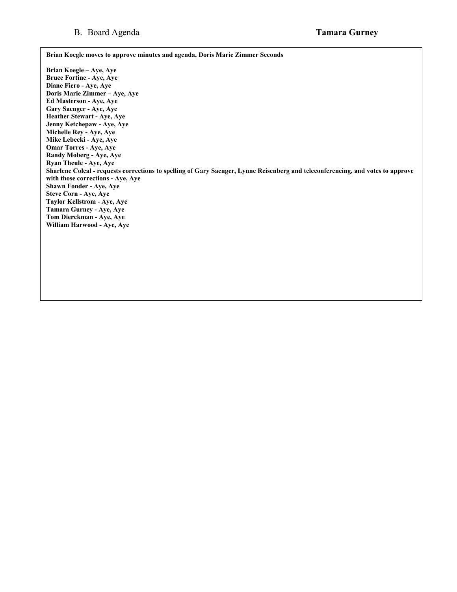**Brian Koegle moves to approve minutes and agenda, Doris Marie Zimmer Seconds** 

 **Brian Koegle – Aye, Aye Doris Marie Zimmer – Aye, Aye Bruce Fortine - Aye, Aye Diane Fiero - Aye, Aye Ed Masterson - Aye, Aye Gary Saenger - Aye, Aye Heather Stewart - Aye, Aye Jenny Ketchepaw - Aye, Aye Michelle Rey - Aye, Aye Mike Lebecki - Aye, Aye Omar Torres - Aye, Aye Randy Moberg - Aye, Aye Ryan Theule - Aye, Aye Sharlene Coleal - requests corrections to spelling of Gary Saenger, Lynne Reisenberg and teleconferencing, and votes to approve with those corrections - Aye, Aye Shawn Fonder - Aye, Aye Steve Corn - Aye, Aye Taylor Kellstrom - Aye, Aye Tamara Gurney - Aye, Aye Tom Dierckman - Aye, Aye William Harwood - Aye, Aye**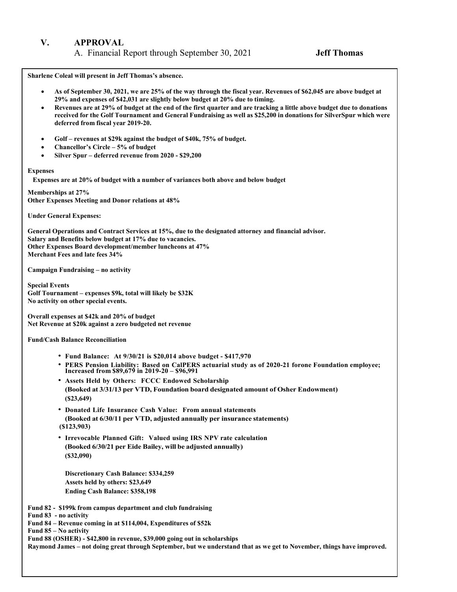#### **V. APPROVAL**

A. Financial Report through September 30, 2021 **Jeff Thomas** 

**Sharlene Coleal will present in Jeff Thomas's absence.** 

- **As of September 30, 2021, we are 25% of the way through the fiscal year. Revenues of \$62,045 are above budget at 29% and expenses of \$42,031 are slightly below budget at 20% due to timing.**
- **Revenues are at 29% of budget at the end of the first quarter and are tracking a little above budget due to donations received for the Golf Tournament and General Fundraising as well as \$25,200 in donations for SilverSpur which were deferred from fiscal year 2019-20.**
- **Golf revenues at \$29k against the budget of \$40k, 75% of budget.**
- **Chancellor's Circle 5% of budget**
- **Silver Spur deferred revenue from 2020 - \$29,200**

#### **Expenses**

 **Expenses are at 20% of budget with a number of variances both above and below budget** 

**Memberships at 27% Other Expenses Meeting and Donor relations at 48%** 

**Under General Expenses:** 

 **General Operations and Contract Services at 15%, due to the designated attorney and financial advisor. Salary and Benefits below budget at 17% due to vacancies. Other Expenses Board development/member luncheons at 47% Merchant Fees and late fees 34%** 

 **Campaign Fundraising – no activity** 

**Special Events Golf Tournament – expenses \$9k, total will likely be \$32K No activity on other special events.** 

 **Net Revenue at \$20k against a zero budgeted net revenue Overall expenses at \$42k and 20% of budget** 

**Fund/Cash Balance Reconciliation** 

- **Fund Balance: At 9/30/21 is \$20,014 above budget - \$417,970**
- **PERS Pension Liability: Based on CalPERS actuarial study as of 2020-21 forone Foundation employee; Increased from \$89,679 in 2019-20 \$96,991**
- **Assets Held by Others: FCCC Endowed Scholarship (Booked at 3/31/13 per VTD, Foundation board designated amount of Osher Endowment) (\$23,649)**
- **Donated Life Insurance Cash Value: From annual statements (Booked at 6/30/11 per VTD, adjusted annually per insurance statements) (\$123,903)**
- **Irrevocable Planned Gift: Valued using IRS NPV rate calculation (Booked 6/30/21 per Eide Bailey, will be adjusted annually) (\$32,090)**

**Discretionary Cash Balance: \$334,259 Assets held by others: \$23,649 Ending Cash Balance: \$358,198** 

 **Fund 82 - \$199k from campus department and club fundraising** 

**Fund 83 - no activity** 

 **Fund 84 – Revenue coming in at \$114,004, Expenditures of \$52k** 

 **Fund 85 – No activity** 

**Fund 88 (OSHER) - \$42,800 in revenue, \$39,000 going out in scholarships** 

 **Raymond James – not doing great through September, but we understand that as we get to November, things have improved.**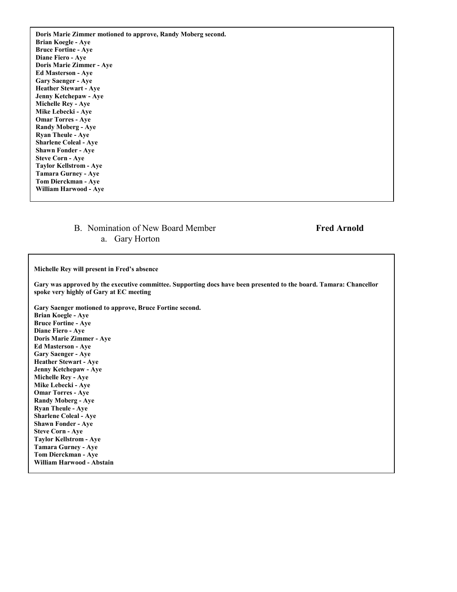**Doris Marie Zimmer motioned to approve, Randy Moberg second. Brian Koegle - Aye Bruce Fortine - Aye Diane Fiero - Aye Doris Marie Zimmer - Aye Ed Masterson - Aye Gary Saenger - Aye Heather Stewart - Aye Jenny Ketchepaw - Aye Michelle Rey - Aye Mike Lebecki - Aye Omar Torres - Aye Randy Moberg - Aye Ryan Theule - Aye Sharlene Coleal - Aye Shawn Fonder - Aye Steve Corn - Aye Taylor Kellstrom - Aye Tamara Gurney - Aye Tom Dierckman - Aye William Harwood - Aye** 

### B. Nomination of New Board Member **Fred Arnold**  a. Gary Horton

**Michelle Rey will present in Fred's absence** 

**Gary was approved by the executive committee. Supporting docs have been presented to the board. Tamara: Chancellor spoke very highly of Gary at EC meeting** 

**Gary Saenger motioned to approve, Bruce Fortine second. Brian Koegle - Aye Bruce Fortine - Aye Diane Fiero - Aye Doris Marie Zimmer - Aye Ed Masterson - Aye Gary Saenger - Aye Heather Stewart - Aye Jenny Ketchepaw - Aye Michelle Rey - Aye Mike Lebecki - Aye Omar Torres - Aye Randy Moberg - Aye Ryan Theule - Aye Sharlene Coleal - Aye Shawn Fonder - Aye Steve Corn - Aye Taylor Kellstrom - Aye Tamara Gurney - Aye Tom Dierckman - Aye William Harwood - Abstain**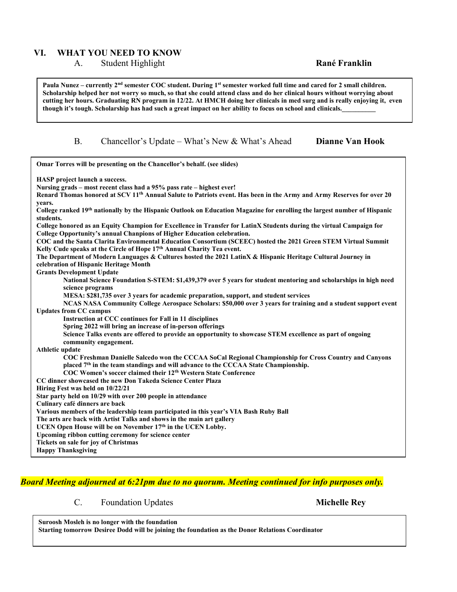### **VI. WHAT YOU NEED TO KNOW**

#### A. Student Highlight **Rané Franklin**

 **Scholarship helped her not worry so much, so that she could attend class and do her clinical hours without worrying about**  Paula Nunez – currently 2<sup>nd</sup> semester COC student. During 1<sup>st</sup> semester worked full time and cared for 2 small children. **cutting her hours. Graduating RN program in 12/22. At HMCH doing her clinicals in med surg and is really enjoying it, even**  though it's tough. Scholarship has had such a great impact on her ability to focus on school and clinicals.

#### B. Chancellor's Update – What's New & What's Ahead

#### **Dianne Van Hook**

| Omar Torres will be presenting on the Chancellor's behalf. (see slides)                                                                |
|----------------------------------------------------------------------------------------------------------------------------------------|
| <b>HASP</b> project launch a success.                                                                                                  |
| Nursing grads - most recent class had a 95% pass rate - highest ever!                                                                  |
| Renard Thomas honored at SCV 11 <sup>th</sup> Annual Salute to Patriots event. Has been in the Army and Army Reserves for over 20      |
| years.                                                                                                                                 |
| College ranked 19th nationally by the Hispanic Outlook on Education Magazine for enrolling the largest number of Hispanic<br>students. |
| College honored as an Equity Champion for Excellence in Transfer for LatinX Students during the virtual Campaign for                   |
| College Opportunity's annual Chanpions of Higher Education celebration.                                                                |
| COC and the Santa Clarita Environmental Education Consortium (SCEEC) hosted the 2021 Green STEM Virtual Summit                         |
| Kelly Cude speaks at the Circle of Hope 17th Annual Charity Tea event.                                                                 |
| The Department of Modern Languages & Cultures hosted the 2021 LatinX & Hispanic Heritage Cultural Journey in                           |
| celebration of Hispanic Heritage Month                                                                                                 |
| <b>Grants Development Update</b>                                                                                                       |
| National Science Foundation S-STEM: \$1,439,379 over 5 years for student mentoring and scholarships in high need                       |
| science programs                                                                                                                       |
| MESA: \$281,735 over 3 years for academic preparation, support, and student services                                                   |
| NCAS NASA Community College Aerospace Scholars: \$50,000 over 3 years for training and a student support event                         |
| <b>Updates from CC campus</b>                                                                                                          |
| Instruction at CCC continues for Fall in 11 disciplines                                                                                |
| Spring 2022 will bring an increase of in-person offerings                                                                              |
| Science Talks events are offered to provide an opportunity to showcase STEM excellence as part of ongoing<br>community engagement.     |
| Athletic update                                                                                                                        |
| COC Freshman Danielle Salcedo won the CCCAA SoCal Regional Championship for Cross Country and Canyons                                  |
| placed 7 <sup>th</sup> in the team standings and will advance to the CCCAA State Championship.                                         |
| COC Women's soccer claimed their 12 <sup>th</sup> Western State Conference                                                             |
| CC dinner showcased the new Don Takeda Science Center Plaza                                                                            |
| Hiring Fest was held on 10/22/21                                                                                                       |
| Star party held on 10/29 with over 200 people in attendance                                                                            |
| Culinary café dinners are back                                                                                                         |
| Various members of the leadership team participated in this year's VIA Bash Ruby Ball                                                  |
| The arts are back with Artist Talks and shows in the main art gallery                                                                  |
| UCEN Open House will be on November 17th in the UCEN Lobby.                                                                            |
| Upcoming ribbon cutting ceremony for science center                                                                                    |
| Tickets on sale for joy of Christmas                                                                                                   |
| <b>Happy Thanksgiving</b>                                                                                                              |

## *Board Meeting adjourned at 6:21pm due to no quorum. Meeting continued for info purposes only.*

#### C. Foundation Updates **Michelle Rey**

**Suroosh Mosleh is no longer with the foundation Starting tomorrow Desiree Dodd will be joining the foundation as the Donor Relations Coordinator**